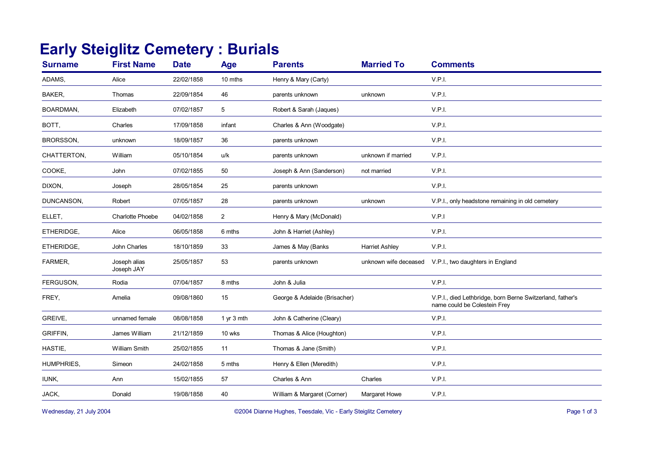## **Early Steiglitz Cemetery : Burials**

| <b>Surname</b> | <b>First Name</b>          | <b>Date</b> | <b>Age</b>     | <b>Parents</b>                | <b>Married To</b>     | <b>Comments</b>                                                                           |
|----------------|----------------------------|-------------|----------------|-------------------------------|-----------------------|-------------------------------------------------------------------------------------------|
| ADAMS,         | Alice                      | 22/02/1858  | 10 mths        | Henry & Mary (Carty)          |                       | V.P.I.                                                                                    |
| BAKER,         | Thomas                     | 22/09/1854  | 46             | parents unknown               | unknown               | V.P.I.                                                                                    |
| BOARDMAN,      | Elizabeth                  | 07/02/1857  | 5              | Robert & Sarah (Jaques)       |                       | V.P.I.                                                                                    |
| BOTT,          | Charles                    | 17/09/1858  | infant         | Charles & Ann (Woodgate)      |                       | V.P.I.                                                                                    |
| BRORSSON,      | unknown                    | 18/09/1857  | 36             | parents unknown               |                       | V.P.I.                                                                                    |
| CHATTERTON,    | William                    | 05/10/1854  | u/k            | parents unknown               | unknown if married    | V.P.I.                                                                                    |
| COOKE,         | John                       | 07/02/1855  | 50             | Joseph & Ann (Sanderson)      | not married           | V.P.I.                                                                                    |
| DIXON,         | Joseph                     | 28/05/1854  | 25             | parents unknown               |                       | V.P.I.                                                                                    |
| DUNCANSON,     | Robert                     | 07/05/1857  | 28             | parents unknown               | unknown               | V.P.I., only headstone remaining in old cemetery                                          |
| ELLET,         | <b>Charlotte Phoebe</b>    | 04/02/1858  | $\overline{2}$ | Henry & Mary (McDonald)       |                       | V.P.1                                                                                     |
| ETHERIDGE,     | Alice                      | 06/05/1858  | 6 mths         | John & Harriet (Ashley)       |                       | V.P.I.                                                                                    |
| ETHERIDGE,     | John Charles               | 18/10/1859  | 33             | James & May (Banks            | <b>Harriet Ashley</b> | V.P.I.                                                                                    |
| FARMER,        | Joseph alias<br>Joseph JAY | 25/05/1857  | 53             | parents unknown               | unknown wife deceased | V.P.I., two daughters in England                                                          |
| FERGUSON,      | Rodia                      | 07/04/1857  | 8 mths         | John & Julia                  |                       | V.P.I.                                                                                    |
| FREY,          | Amelia                     | 09/08/1860  | 15             | George & Adelaide (Brisacher) |                       | V.P.I., died Lethbridge, born Berne Switzerland, father's<br>name could be Colestein Frey |
| GREIVE,        | unnamed female             | 08/08/1858  | 1 yr $3$ mth   | John & Catherine (Cleary)     |                       | V.P.I.                                                                                    |
| GRIFFIN,       | James William              | 21/12/1859  | 10 wks         | Thomas & Alice (Houghton)     |                       | V.P.I.                                                                                    |
| HASTIE.        | <b>William Smith</b>       | 25/02/1855  | 11             | Thomas & Jane (Smith)         |                       | V.P.I.                                                                                    |
| HUMPHRIES,     | Simeon                     | 24/02/1858  | 5 mths         | Henry & Ellen (Meredith)      |                       | V.P.I.                                                                                    |
| IUNK,          | Ann                        | 15/02/1855  | 57             | Charles & Ann                 | Charles               | V.P.I.                                                                                    |
| JACK,          | Donald                     | 19/08/1858  | 40             | William & Margaret (Corner)   | Margaret Howe         | V.P.I.                                                                                    |
|                |                            |             |                |                               |                       |                                                                                           |

Wednesday, 21 July 2004 **Dianne Hughes, Teesdale, Vic - Early Steiglitz Cemetery** Page 1 of 3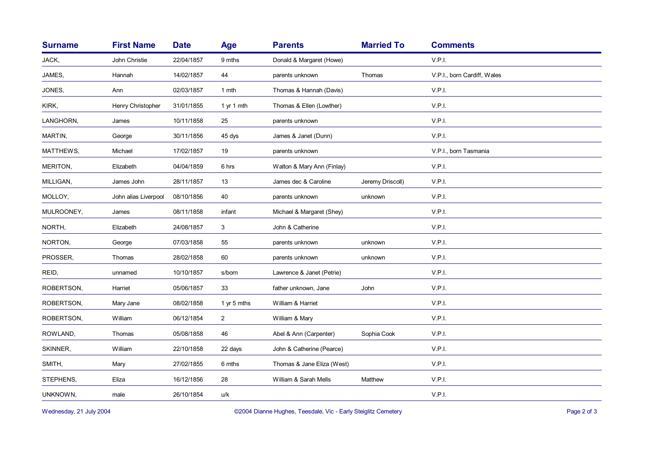| <b>Surname</b> | <b>First Name</b>    | <b>Date</b> | <b>Age</b>     | <b>Parents</b>             | <b>Married To</b> | <b>Comments</b>             |
|----------------|----------------------|-------------|----------------|----------------------------|-------------------|-----------------------------|
| JACK,          | John Christie        | 22/04/1857  | 9 mths         | Donald & Margaret (Howe)   |                   | V.P.I.                      |
| JAMES,         | Hannah               | 14/02/1857  | 44             | parents unknown            | Thomas            | V.P.I., born Cardiff, Wales |
| JONES,         | Ann                  | 02/03/1857  | 1 mth          | Thomas & Hannah (Davis)    |                   | V.P.I.                      |
| KIRK,          | Henry Christopher    | 31/01/1855  | 1 yr 1 mth     | Thomas & Ellen (Lowther)   |                   | V.P.I.                      |
| LANGHORN,      | James                | 10/11/1858  | 25             | parents unknown            |                   | V.P.I.                      |
| MARTIN,        | George               | 30/11/1856  | 45 dys         | James & Janet (Dunn)       |                   | V.P.I.                      |
| MATTHEWS,      | Michael              | 17/02/1857  | 19             | parents unknown            |                   | V.P.I., born Tasmania       |
| MERITON,       | Elizabeth            | 04/04/1859  | 6 hrs          | Walton & Mary Ann (Finlay) |                   | V.P.I.                      |
| MILLIGAN,      | James John           | 28/11/1857  | 13             | James dec & Caroline       | Jeremy Driscoll)  | V.P.I.                      |
| MOLLOY,        | John alias Liverpool | 08/10/1856  | 40             | parents unknown            | unknown           | V.P.I.                      |
| MULROONEY,     | James                | 08/11/1858  | infant         | Michael & Margaret (Shey)  |                   | V.P.I.                      |
| NORTH,         | Elizabeth            | 24/08/1857  | 3              | John & Catherine           |                   | V.P.I.                      |
| NORTON,        | George               | 07/03/1858  | 55             | parents unknown            | unknown           | V.P.I.                      |
| PROSSER,       | Thomas               | 28/02/1858  | 60             | parents unknown            | unknown           | V.P.I.                      |
| REID,          | unnamed              | 10/10/1857  | s/born         | Lawrence & Janet (Petrie)  |                   | V.P.I.                      |
| ROBERTSON,     | Harriet              | 05/06/1857  | 33             | father unknown, Jane       | John              | V.P.I.                      |
| ROBERTSON,     | Mary Jane            | 08/02/1858  | 1 yr 5 mths    | William & Harriet          |                   | V.P.I.                      |
| ROBERTSON,     | William              | 06/12/1854  | $\overline{2}$ | William & Mary             |                   | V.P.I.                      |
| ROWLAND,       | Thomas               | 05/08/1858  | 46             | Abel & Ann (Carpenter)     | Sophia Cook       | V.P.I.                      |
| SKINNER,       | William              | 22/10/1858  | 22 days        | John & Catherine (Pearce)  |                   | V.P.I.                      |
| SMITH,         | Mary                 | 27/02/1855  | 6 mths         | Thomas & Jane Eliza (West) |                   | V.P.I.                      |
| STEPHENS,      | Eliza                | 16/12/1856  | 28             | William & Sarah Mells      | Matthew           | V.P.I.                      |
| UNKNOWN,       | male                 | 26/10/1854  | u/k            |                            |                   | V.P.I.                      |
|                |                      |             |                |                            |                   |                             |

Wednesday, 21 July 2004 **Dianne Hughes, Teesdale, Vic - Early Steiglitz Cemetery** Page 2 of 3